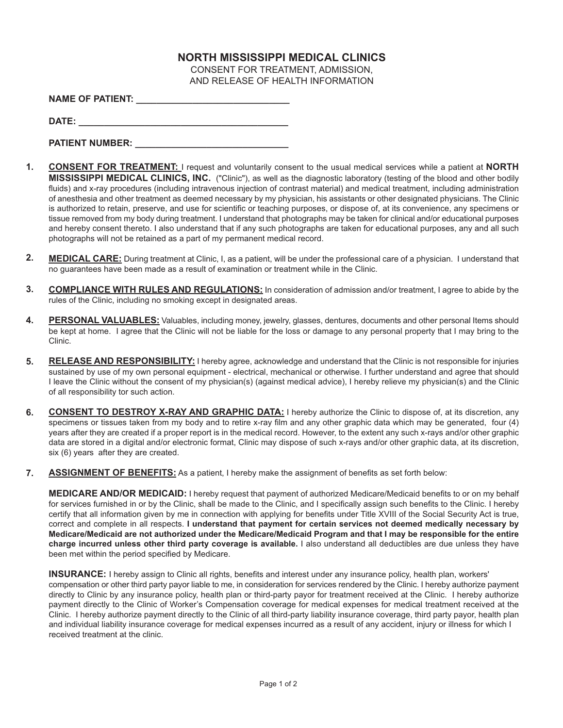## **NORTH MISSISSIPPI MEDICAL CLINICS**

CONSENT FOR TREATMENT, ADMISSION, AND RELEASE OF HEALTH INFORMATION

| <b>NAME OF PATIENT:</b> |  |
|-------------------------|--|
|                         |  |

**DATE: \_\_\_\_\_\_\_\_\_\_\_\_\_\_\_\_\_\_\_\_\_\_\_\_\_\_\_\_\_\_\_\_\_\_\_\_\_\_\_\_\_**

| <b>PATIENT NUMBER:</b> |  |
|------------------------|--|
|                        |  |

- **CONSENT FOR TREATMENT:** I request and voluntarily consent to the usual medical services while a patient at **NORTH MISSISSIPPI MEDICAL CLINICS, INC.** ("Clinic"), as well as the diagnostic laboratory (testing of the blood and other bodily fluids) and x-ray procedures (including intravenous injection of contrast material) and medical treatment, including administration of anesthesia and other treatment as deemed necessary by my physician, his assistants or other designated physicians. The Clinic is authorized to retain, preserve, and use for scientific or teaching purposes, or dispose of, at its convenience, any specimens or tissue removed from my body during treatment. I understand that photographs may be taken for clinical and/or educational purposes and hereby consent thereto. I also understand that if any such photographs are taken for educational purposes, any and all such photographs will not be retained as a part of my permanent medical record. **1.**
- **MEDICAL CARE:** During treatment at Clinic, I, as a patient, will be under the professional care of a physician. I understand that no guarantees have been made as a result of examination or treatment while in the Clinic. **2.**
- **COMPLIANCE WITH RULES AND REGULATIONS:** In consideration of admission and/or treatment, I agree to abide by the rules of the Clinic, including no smoking except in designated areas. **3.**
- **PERSONAL VALUABLES:** Valuables, including money, jewelry, glasses, dentures, documents and other personal Items should be kept at home. I agree that the Clinic will not be liable for the loss or damage to any personal property that I may bring to the Clinic. **4.**
- **RELEASE AND RESPONSIBILITY:** I hereby agree, acknowledge and understand that the Clinic is not responsible for injuries sustained by use of my own personal equipment - electrical, mechanical or otherwise. I further understand and agree that should I leave the Clinic without the consent of my physician(s) (against medical advice), I hereby relieve my physician(s) and the Clinic of all responsibility tor such action. **5.**
- **CONSENT TO DESTROY X-RAY AND GRAPHIC DATA:** I hereby authorize the Clinic to dispose of, at its discretion, any specimens or tissues taken from my body and to retire x-ray film and any other graphic data which may be generated, four (4) years after they are created if a proper report is in the medical record. However, to the extent any such x-rays and/or other graphic data are stored in a digital and/or electronic format, Clinic may dispose of such x-rays and/or other graphic data, at its discretion, six (6) years after they are created. **6.**
- **ASSIGNMENT OF BENEFITS:** As a patient, I hereby make the assignment of benefits as set forth below: **7.**

**MEDICARE AND/OR MEDICAID:** I hereby request that payment of authorized Medicare/Medicaid benefits to or on my behalf for services furnished in or by the Clinic, shall be made to the Clinic, and I specifically assign such benefits to the Clinic. I hereby certify that all information given by me in connection with applying for benefits under Title XVIII of the Social Security Act is true, correct and complete in all respects. **I understand that payment for certain services not deemed medically necessary by** Medicare/Medicaid are not authorized under the Medicare/Medicaid Program and that I may be responsible for the entire **charge incurred unless other third party coverage is available.** I also understand all deductibles are due unless they have been met within the period specified by Medicare.

**INSURANCE:** I hereby assign to Clinic all rights, benefits and interest under any insurance policy, health plan, workers' compensation or other third party payor liable to me, in consideration for services rendered by the Clinic. I hereby authorize payment directly to Clinic by any insurance policy, health plan or third-party payor for treatment received at the Clinic. I hereby authorize payment directly to the Clinic of Worker's Compensation coverage for medical expenses for medical treatment received at the Clinic. I hereby authorize payment directly to the Clinic of all third-party liability insurance coverage, third party payor, health plan and individual liability insurance coverage for medical expenses incurred as a result of any accident, injury or illness for which I received treatment at the clinic.